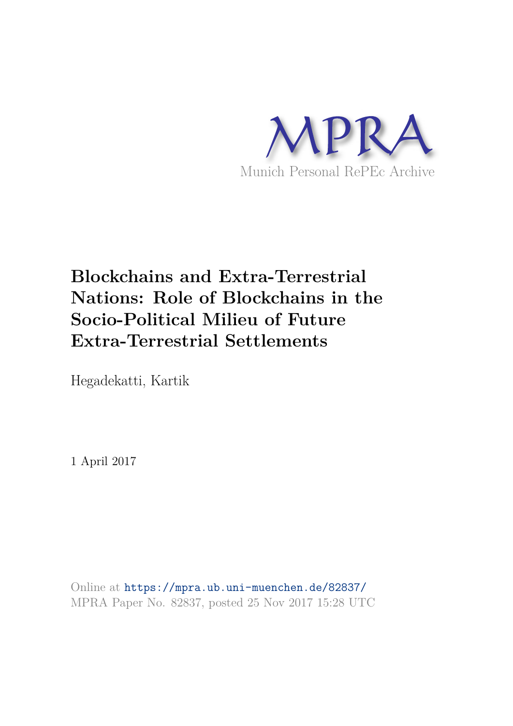

# **Blockchains and Extra-Terrestrial Nations: Role of Blockchains in the Socio-Political Milieu of Future Extra-Terrestrial Settlements**

Hegadekatti, Kartik

1 April 2017

Online at https://mpra.ub.uni-muenchen.de/82837/ MPRA Paper No. 82837, posted 25 Nov 2017 15:28 UTC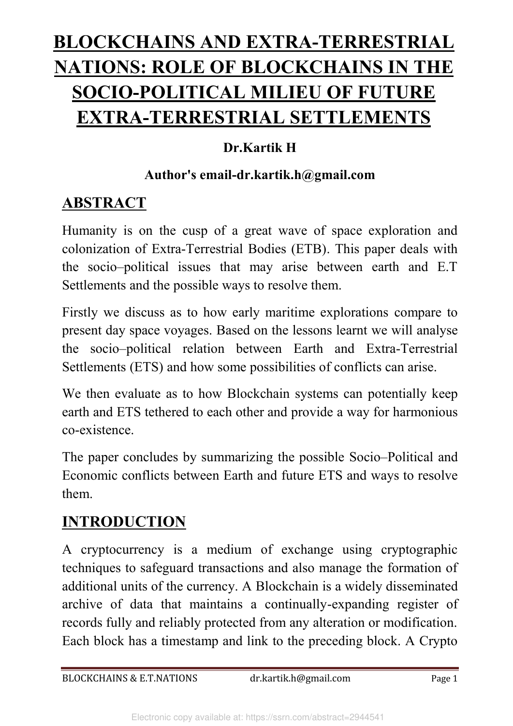# **BLOCKCHAINS AND EXTRA-TERRESTRIAL NATIONS: ROLE OF BLOCKCHAINS IN THE SOCIO-POLITICAL MILIEU OF FUTURE EXTRA-TERRESTRIAL SETTLEMENTS**

#### **Dr.Kartik H**

#### **Author's email-dr.kartik.h@gmail.com**

### **ABSTRACT**

Humanity is on the cusp of a great wave of space exploration and colonization of Extra-Terrestrial Bodies (ETB). This paper deals with the socio–political issues that may arise between earth and E.T Settlements and the possible ways to resolve them.

Firstly we discuss as to how early maritime explorations compare to present day space voyages. Based on the lessons learnt we will analyse the socio–political relation between Earth and Extra-Terrestrial Settlements (ETS) and how some possibilities of conflicts can arise.

We then evaluate as to how Blockchain systems can potentially keep earth and ETS tethered to each other and provide a way for harmonious co-existence.

The paper concludes by summarizing the possible Socio–Political and Economic conflicts between Earth and future ETS and ways to resolve them.

### **INTRODUCTION**

A cryptocurrency is a medium of exchange using cryptographic techniques to safeguard transactions and also manage the formation of additional units of the currency. A Blockchain is a widely disseminated archive of data that maintains a continually-expanding register of records fully and reliably protected from any alteration or modification. Each block has a timestamp and link to the preceding block. A Crypto

BLOCKCHAINS & E.T.NATIONS dr.kartik.h@gmail.com Page 1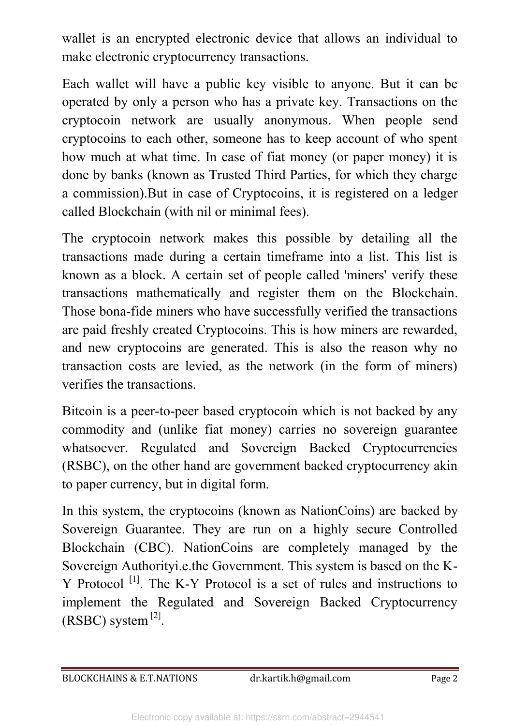wallet is an encrypted electronic device that allows an individual to make electronic cryptocurrency transactions.

Each wallet will have a public key visible to anyone. But it can be operated by only a person who has a private key. Transactions on the cryptocoin network are usually anonymous. When people send cryptocoins to each other, someone has to keep account of who spent how much at what time. In case of fiat money (or paper money) it is done by banks (known as Trusted Third Parties, for which they charge a commission).But in case of Cryptocoins, it is registered on a ledger called Blockchain (with nil or minimal fees).

The cryptocoin network makes this possible by detailing all the transactions made during a certain timeframe into a list. This list is known as a block. A certain set of people called 'miners' verify these transactions mathematically and register them on the Blockchain. Those bona-fide miners who have successfully verified the transactions are paid freshly created Cryptocoins. This is how miners are rewarded, and new cryptocoins are generated. This is also the reason why no transaction costs are levied, as the network (in the form of miners) verifies the transactions.

Bitcoin is a peer-to-peer based cryptocoin which is not backed by any commodity and (unlike fiat money) carries no sovereign guarantee whatsoever. Regulated and Sovereign Backed Cryptocurrencies (RSBC), on the other hand are government backed cryptocurrency akin to paper currency, but in digital form.

In this system, the cryptocoins (known as NationCoins) are backed by Sovereign Guarantee. They are run on a highly secure Controlled Blockchain (CBC). NationCoins are completely managed by the Sovereign Authorityi.e.the Government. This system is based on the K-Y Protocol <sup>[1]</sup>. The K-Y Protocol is a set of rules and instructions to implement the Regulated and Sovereign Backed Cryptocurrency  $(RSBC)$  system  $^{[2]}$ .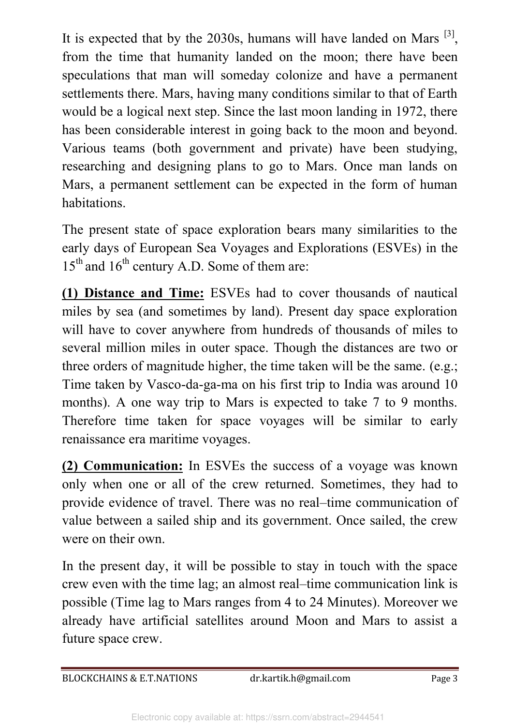It is expected that by the 2030s, humans will have landed on Mars  $^{[3]}$ , from the time that humanity landed on the moon; there have been speculations that man will someday colonize and have a permanent settlements there. Mars, having many conditions similar to that of Earth would be a logical next step. Since the last moon landing in 1972, there has been considerable interest in going back to the moon and beyond. Various teams (both government and private) have been studying, researching and designing plans to go to Mars. Once man lands on Mars, a permanent settlement can be expected in the form of human habitations.

The present state of space exploration bears many similarities to the early days of European Sea Voyages and Explorations (ESVEs) in the  $15<sup>th</sup>$  and  $16<sup>th</sup>$  century A.D. Some of them are:

**(1) Distance and Time:** ESVEs had to cover thousands of nautical miles by sea (and sometimes by land). Present day space exploration will have to cover anywhere from hundreds of thousands of miles to several million miles in outer space. Though the distances are two or three orders of magnitude higher, the time taken will be the same. (e.g.; Time taken by Vasco-da-ga-ma on his first trip to India was around 10 months). A one way trip to Mars is expected to take 7 to 9 months. Therefore time taken for space voyages will be similar to early renaissance era maritime voyages.

**(2) Communication:** In ESVEs the success of a voyage was known only when one or all of the crew returned. Sometimes, they had to provide evidence of travel. There was no real–time communication of value between a sailed ship and its government. Once sailed, the crew were on their own.

In the present day, it will be possible to stay in touch with the space crew even with the time lag; an almost real–time communication link is possible (Time lag to Mars ranges from 4 to 24 Minutes). Moreover we already have artificial satellites around Moon and Mars to assist a future space crew.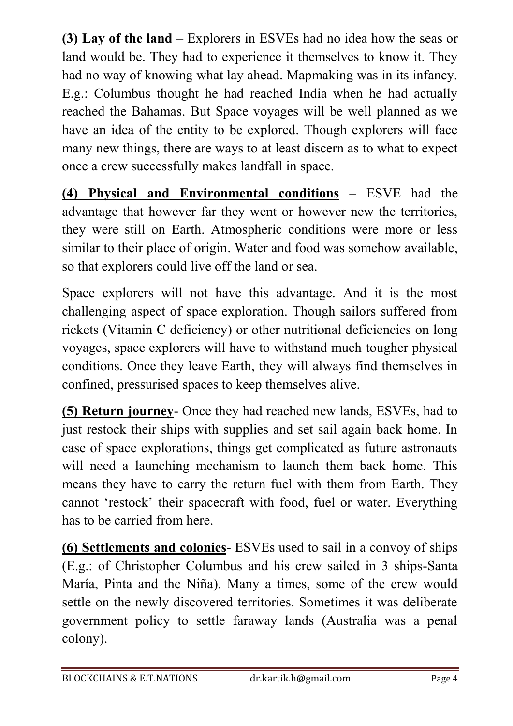**(3) Lay of the land** – Explorers in ESVEs had no idea how the seas or land would be. They had to experience it themselves to know it. They had no way of knowing what lay ahead. Mapmaking was in its infancy. E.g.: Columbus thought he had reached India when he had actually reached the Bahamas. But Space voyages will be well planned as we have an idea of the entity to be explored. Though explorers will face many new things, there are ways to at least discern as to what to expect once a crew successfully makes landfall in space.

**(4) Physical and Environmental conditions** – ESVE had the advantage that however far they went or however new the territories, they were still on Earth. Atmospheric conditions were more or less similar to their place of origin. Water and food was somehow available, so that explorers could live off the land or sea.

Space explorers will not have this advantage. And it is the most challenging aspect of space exploration. Though sailors suffered from rickets (Vitamin C deficiency) or other nutritional deficiencies on long voyages, space explorers will have to withstand much tougher physical conditions. Once they leave Earth, they will always find themselves in confined, pressurised spaces to keep themselves alive.

**(5) Return journey**- Once they had reached new lands, ESVEs, had to just restock their ships with supplies and set sail again back home. In case of space explorations, things get complicated as future astronauts will need a launching mechanism to launch them back home. This means they have to carry the return fuel with them from Earth. They cannot 'restock' their spacecraft with food, fuel or water. Everything has to be carried from here.

**(6) Settlements and colonies**- ESVEs used to sail in a convoy of ships (E.g.: of Christopher Columbus and his crew sailed in 3 ships-Santa María, Pinta and the Niña). Many a times, some of the crew would settle on the newly discovered territories. Sometimes it was deliberate government policy to settle faraway lands (Australia was a penal colony).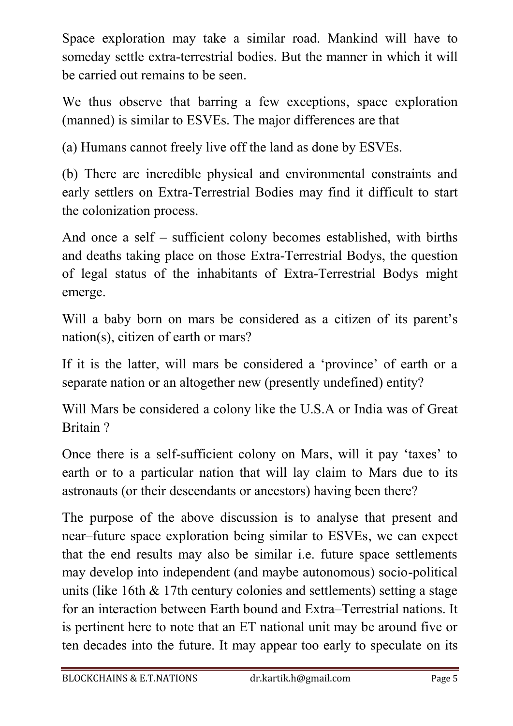Space exploration may take a similar road. Mankind will have to someday settle extra-terrestrial bodies. But the manner in which it will be carried out remains to be seen.

We thus observe that barring a few exceptions, space exploration (manned) is similar to ESVEs. The major differences are that

(a) Humans cannot freely live off the land as done by ESVEs.

(b) There are incredible physical and environmental constraints and early settlers on Extra-Terrestrial Bodies may find it difficult to start the colonization process.

And once a self – sufficient colony becomes established, with births and deaths taking place on those Extra-Terrestrial Bodys, the question of legal status of the inhabitants of Extra-Terrestrial Bodys might emerge.

Will a baby born on mars be considered as a citizen of its parent's nation(s), citizen of earth or mars?

If it is the latter, will mars be considered a 'province' of earth or a separate nation or an altogether new (presently undefined) entity?

Will Mars be considered a colony like the U.S.A or India was of Great Britain ?

Once there is a self-sufficient colony on Mars, will it pay 'taxes' to earth or to a particular nation that will lay claim to Mars due to its astronauts (or their descendants or ancestors) having been there?

The purpose of the above discussion is to analyse that present and near–future space exploration being similar to ESVEs, we can expect that the end results may also be similar i.e. future space settlements may develop into independent (and maybe autonomous) socio-political units (like 16th & 17th century colonies and settlements) setting a stage for an interaction between Earth bound and Extra–Terrestrial nations. It is pertinent here to note that an ET national unit may be around five or ten decades into the future. It may appear too early to speculate on its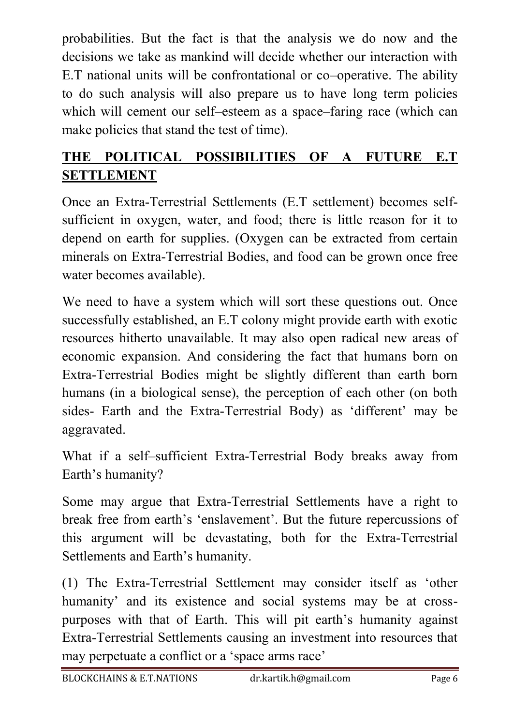probabilities. But the fact is that the analysis we do now and the decisions we take as mankind will decide whether our interaction with E.T national units will be confrontational or co–operative. The ability to do such analysis will also prepare us to have long term policies which will cement our self–esteem as a space–faring race (which can make policies that stand the test of time).

#### **THE POLITICAL POSSIBILITIES OF A FUTURE E.T SETTLEMENT**

Once an Extra-Terrestrial Settlements (E.T settlement) becomes selfsufficient in oxygen, water, and food; there is little reason for it to depend on earth for supplies. (Oxygen can be extracted from certain minerals on Extra-Terrestrial Bodies, and food can be grown once free water becomes available).

We need to have a system which will sort these questions out. Once successfully established, an E.T colony might provide earth with exotic resources hitherto unavailable. It may also open radical new areas of economic expansion. And considering the fact that humans born on Extra-Terrestrial Bodies might be slightly different than earth born humans (in a biological sense), the perception of each other (on both sides- Earth and the Extra-Terrestrial Body) as 'different' may be aggravated.

What if a self–sufficient Extra-Terrestrial Body breaks away from Earth's humanity?

Some may argue that Extra-Terrestrial Settlements have a right to break free from earth's 'enslavement'. But the future repercussions of this argument will be devastating, both for the Extra-Terrestrial Settlements and Earth's humanity.

(1) The Extra-Terrestrial Settlement may consider itself as 'other humanity' and its existence and social systems may be at crosspurposes with that of Earth. This will pit earth's humanity against Extra-Terrestrial Settlements causing an investment into resources that may perpetuate a conflict or a 'space arms race'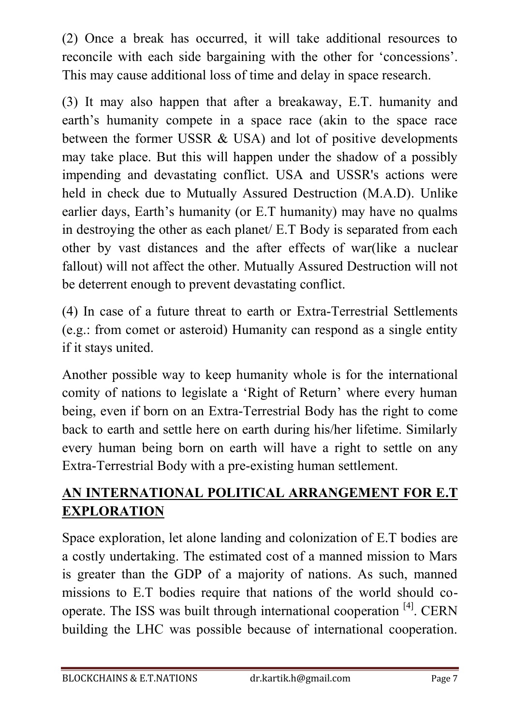(2) Once a break has occurred, it will take additional resources to reconcile with each side bargaining with the other for 'concessions'. This may cause additional loss of time and delay in space research.

(3) It may also happen that after a breakaway, E.T. humanity and earth's humanity compete in a space race (akin to the space race between the former USSR & USA) and lot of positive developments may take place. But this will happen under the shadow of a possibly impending and devastating conflict. USA and USSR's actions were held in check due to Mutually Assured Destruction (M.A.D). Unlike earlier days, Earth's humanity (or E.T humanity) may have no qualms in destroying the other as each planet/ E.T Body is separated from each other by vast distances and the after effects of war(like a nuclear fallout) will not affect the other. Mutually Assured Destruction will not be deterrent enough to prevent devastating conflict.

(4) In case of a future threat to earth or Extra-Terrestrial Settlements (e.g.: from comet or asteroid) Humanity can respond as a single entity if it stays united.

Another possible way to keep humanity whole is for the international comity of nations to legislate a 'Right of Return' where every human being, even if born on an Extra-Terrestrial Body has the right to come back to earth and settle here on earth during his/her lifetime. Similarly every human being born on earth will have a right to settle on any Extra-Terrestrial Body with a pre-existing human settlement.

#### **AN INTERNATIONAL POLITICAL ARRANGEMENT FOR E.T EXPLORATION**

Space exploration, let alone landing and colonization of E.T bodies are a costly undertaking. The estimated cost of a manned mission to Mars is greater than the GDP of a majority of nations. As such, manned missions to E.T bodies require that nations of the world should cooperate. The ISS was built through international cooperation [4]. CERN building the LHC was possible because of international cooperation.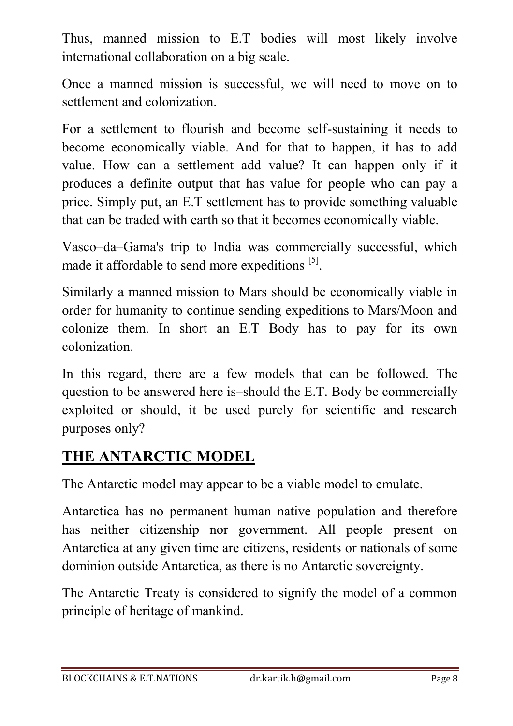Thus, manned mission to E.T bodies will most likely involve international collaboration on a big scale.

Once a manned mission is successful, we will need to move on to settlement and colonization.

For a settlement to flourish and become self-sustaining it needs to become economically viable. And for that to happen, it has to add value. How can a settlement add value? It can happen only if it produces a definite output that has value for people who can pay a price. Simply put, an E.T settlement has to provide something valuable that can be traded with earth so that it becomes economically viable.

Vasco–da–Gama's trip to India was commercially successful, which made it affordable to send more expeditions [5].

Similarly a manned mission to Mars should be economically viable in order for humanity to continue sending expeditions to Mars/Moon and colonize them. In short an E.T Body has to pay for its own colonization.

In this regard, there are a few models that can be followed. The question to be answered here is–should the E.T. Body be commercially exploited or should, it be used purely for scientific and research purposes only?

#### **THE ANTARCTIC MODEL**

The Antarctic model may appear to be a viable model to emulate.

Antarctica has no permanent human native population and therefore has neither citizenship nor government. All people present on Antarctica at any given time are citizens, residents or nationals of some dominion outside Antarctica, as there is no Antarctic sovereignty.

The Antarctic Treaty is considered to signify the model of a common principle of heritage of mankind.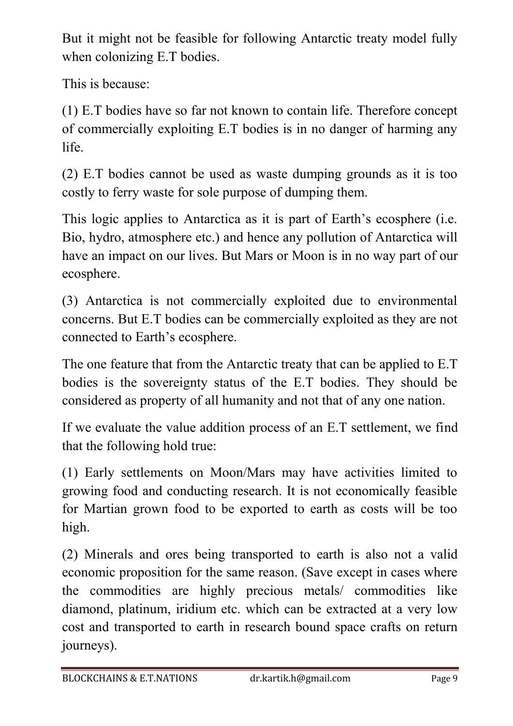But it might not be feasible for following Antarctic treaty model fully when colonizing E.T bodies.

This is because:

(1) E.T bodies have so far not known to contain life. Therefore concept of commercially exploiting E.T bodies is in no danger of harming any life.

(2) E.T bodies cannot be used as waste dumping grounds as it is too costly to ferry waste for sole purpose of dumping them.

This logic applies to Antarctica as it is part of Earth's ecosphere (i.e. Bio, hydro, atmosphere etc.) and hence any pollution of Antarctica will have an impact on our lives. But Mars or Moon is in no way part of our ecosphere.

(3) Antarctica is not commercially exploited due to environmental concerns. But E.T bodies can be commercially exploited as they are not connected to Earth's ecosphere.

The one feature that from the Antarctic treaty that can be applied to E.T bodies is the sovereignty status of the E.T bodies. They should be considered as property of all humanity and not that of any one nation.

If we evaluate the value addition process of an E.T settlement, we find that the following hold true:

(1) Early settlements on Moon/Mars may have activities limited to growing food and conducting research. It is not economically feasible for Martian grown food to be exported to earth as costs will be too high.

(2) Minerals and ores being transported to earth is also not a valid economic proposition for the same reason. (Save except in cases where the commodities are highly precious metals/ commodities like diamond, platinum, iridium etc. which can be extracted at a very low cost and transported to earth in research bound space crafts on return journeys).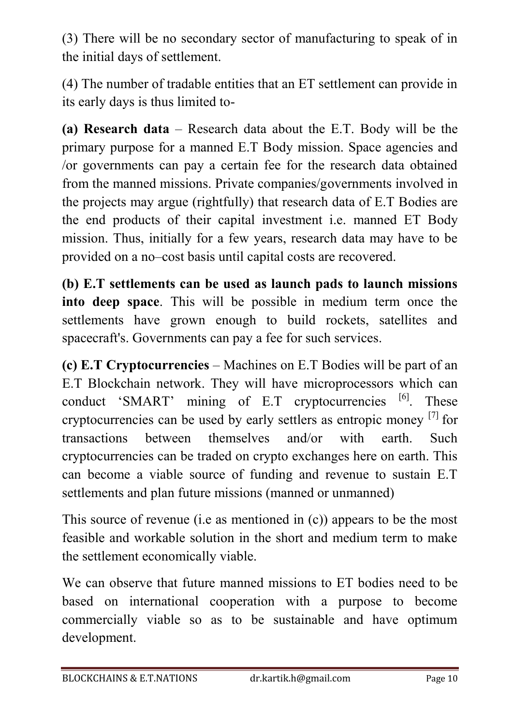(3) There will be no secondary sector of manufacturing to speak of in the initial days of settlement.

(4) The number of tradable entities that an ET settlement can provide in its early days is thus limited to-

**(a) Research data** – Research data about the E.T. Body will be the primary purpose for a manned E.T Body mission. Space agencies and /or governments can pay a certain fee for the research data obtained from the manned missions. Private companies/governments involved in the projects may argue (rightfully) that research data of E.T Bodies are the end products of their capital investment i.e. manned ET Body mission. Thus, initially for a few years, research data may have to be provided on a no–cost basis until capital costs are recovered.

**(b) E.T settlements can be used as launch pads to launch missions into deep space**. This will be possible in medium term once the settlements have grown enough to build rockets, satellites and spacecraft's. Governments can pay a fee for such services.

**(c) E.T Cryptocurrencies** – Machines on E.T Bodies will be part of an E.T Blockchain network. They will have microprocessors which can conduct 'SMART' mining of  $E.T$  cryptocurrencies  $[6]$ . These cryptocurrencies can be used by early settlers as entropic money [7] for transactions between themselves and/or with earth Such cryptocurrencies can be traded on crypto exchanges here on earth. This can become a viable source of funding and revenue to sustain E.T settlements and plan future missions (manned or unmanned)

This source of revenue (i.e as mentioned in (c)) appears to be the most feasible and workable solution in the short and medium term to make the settlement economically viable.

We can observe that future manned missions to ET bodies need to be based on international cooperation with a purpose to become commercially viable so as to be sustainable and have optimum development.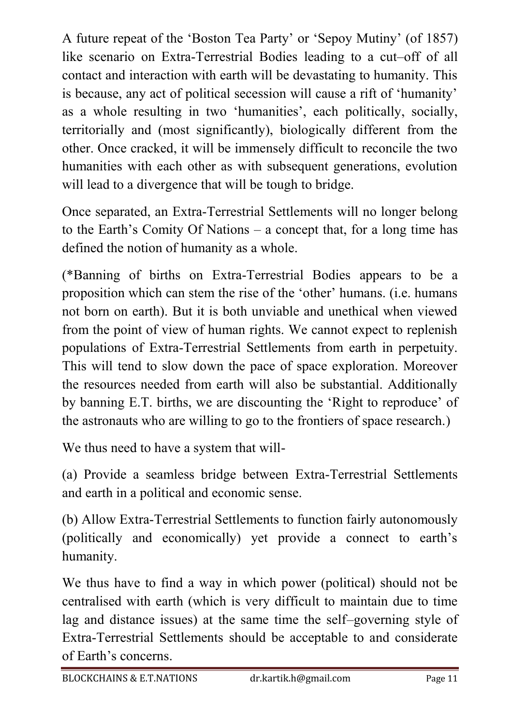A future repeat of the 'Boston Tea Party' or 'Sepoy Mutiny' (of 1857) like scenario on Extra-Terrestrial Bodies leading to a cut–off of all contact and interaction with earth will be devastating to humanity. This is because, any act of political secession will cause a rift of 'humanity' as a whole resulting in two 'humanities', each politically, socially, territorially and (most significantly), biologically different from the other. Once cracked, it will be immensely difficult to reconcile the two humanities with each other as with subsequent generations, evolution will lead to a divergence that will be tough to bridge.

Once separated, an Extra-Terrestrial Settlements will no longer belong to the Earth's Comity Of Nations – a concept that, for a long time has defined the notion of humanity as a whole.

(\*Banning of births on Extra-Terrestrial Bodies appears to be a proposition which can stem the rise of the 'other' humans. (i.e. humans not born on earth). But it is both unviable and unethical when viewed from the point of view of human rights. We cannot expect to replenish populations of Extra-Terrestrial Settlements from earth in perpetuity. This will tend to slow down the pace of space exploration. Moreover the resources needed from earth will also be substantial. Additionally by banning E.T. births, we are discounting the 'Right to reproduce' of the astronauts who are willing to go to the frontiers of space research.)

We thus need to have a system that will-

(a) Provide a seamless bridge between Extra-Terrestrial Settlements and earth in a political and economic sense.

(b) Allow Extra-Terrestrial Settlements to function fairly autonomously (politically and economically) yet provide a connect to earth's humanity.

We thus have to find a way in which power (political) should not be centralised with earth (which is very difficult to maintain due to time lag and distance issues) at the same time the self–governing style of Extra-Terrestrial Settlements should be acceptable to and considerate of Earth's concerns.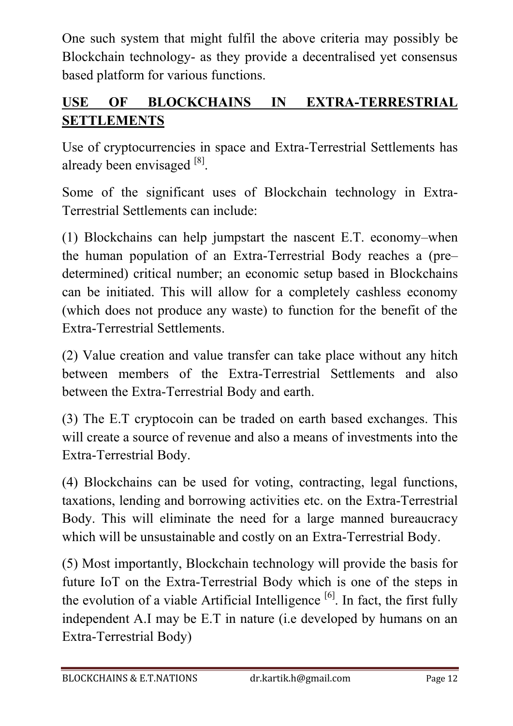One such system that might fulfil the above criteria may possibly be Blockchain technology- as they provide a decentralised yet consensus based platform for various functions.

#### **USE OF BLOCKCHAINS IN EXTRA-TERRESTRIAL SETTLEMENTS**

Use of cryptocurrencies in space and Extra-Terrestrial Settlements has already been envisaged [8].

Some of the significant uses of Blockchain technology in Extra-Terrestrial Settlements can include:

(1) Blockchains can help jumpstart the nascent E.T. economy–when the human population of an Extra-Terrestrial Body reaches a (pre– determined) critical number; an economic setup based in Blockchains can be initiated. This will allow for a completely cashless economy (which does not produce any waste) to function for the benefit of the Extra-Terrestrial Settlements.

(2) Value creation and value transfer can take place without any hitch between members of the Extra-Terrestrial Settlements and also between the Extra-Terrestrial Body and earth.

(3) The E.T cryptocoin can be traded on earth based exchanges. This will create a source of revenue and also a means of investments into the Extra-Terrestrial Body.

(4) Blockchains can be used for voting, contracting, legal functions, taxations, lending and borrowing activities etc. on the Extra-Terrestrial Body. This will eliminate the need for a large manned bureaucracy which will be unsustainable and costly on an Extra-Terrestrial Body.

(5) Most importantly, Blockchain technology will provide the basis for future IoT on the Extra-Terrestrial Body which is one of the steps in the evolution of a viable Artificial Intelligence  $\left[6\right]$ . In fact, the first fully independent A.I may be E.T in nature (i.e developed by humans on an Extra-Terrestrial Body)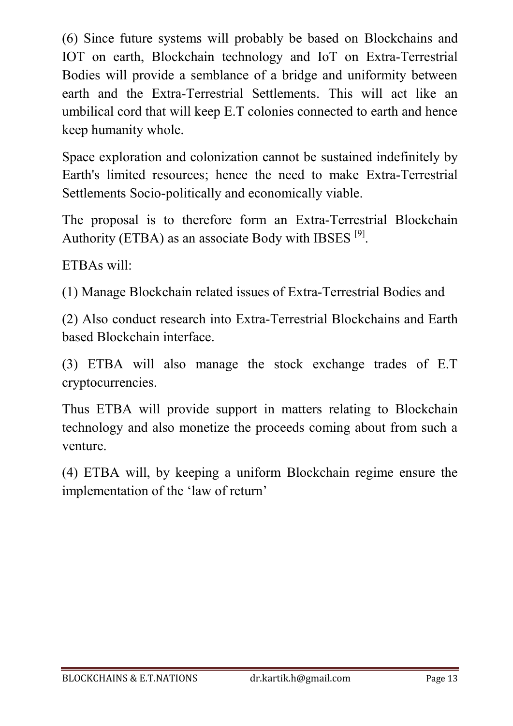(6) Since future systems will probably be based on Blockchains and IOT on earth, Blockchain technology and IoT on Extra-Terrestrial Bodies will provide a semblance of a bridge and uniformity between earth and the Extra-Terrestrial Settlements. This will act like an umbilical cord that will keep E.T colonies connected to earth and hence keep humanity whole.

Space exploration and colonization cannot be sustained indefinitely by Earth's limited resources; hence the need to make Extra-Terrestrial Settlements Socio-politically and economically viable.

The proposal is to therefore form an Extra-Terrestrial Blockchain Authority (ETBA) as an associate Body with IBSES  $[9]$ .

ETBAs will:

(1) Manage Blockchain related issues of Extra-Terrestrial Bodies and

(2) Also conduct research into Extra-Terrestrial Blockchains and Earth based Blockchain interface.

(3) ETBA will also manage the stock exchange trades of E.T cryptocurrencies.

Thus ETBA will provide support in matters relating to Blockchain technology and also monetize the proceeds coming about from such a venture.

(4) ETBA will, by keeping a uniform Blockchain regime ensure the implementation of the 'law of return'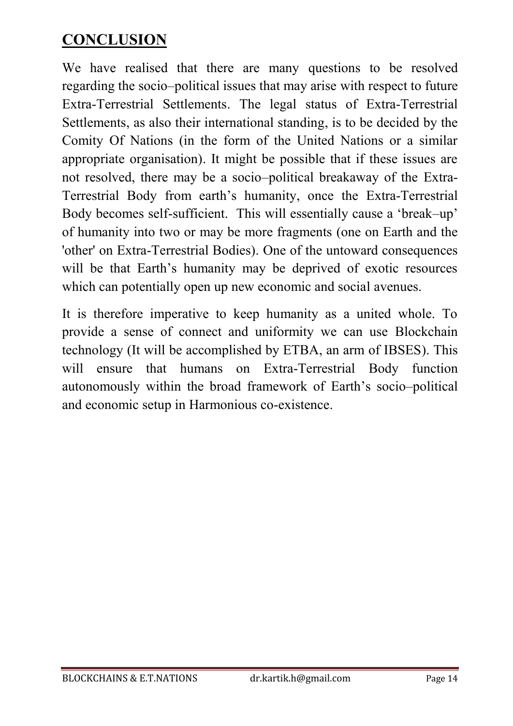#### **CONCLUSION**

We have realised that there are many questions to be resolved regarding the socio–political issues that may arise with respect to future Extra-Terrestrial Settlements. The legal status of Extra-Terrestrial Settlements, as also their international standing, is to be decided by the Comity Of Nations (in the form of the United Nations or a similar appropriate organisation). It might be possible that if these issues are not resolved, there may be a socio–political breakaway of the Extra-Terrestrial Body from earth's humanity, once the Extra-Terrestrial Body becomes self-sufficient. This will essentially cause a 'break–up' of humanity into two or may be more fragments (one on Earth and the 'other' on Extra-Terrestrial Bodies). One of the untoward consequences will be that Earth's humanity may be deprived of exotic resources which can potentially open up new economic and social avenues.

It is therefore imperative to keep humanity as a united whole. To provide a sense of connect and uniformity we can use Blockchain technology (It will be accomplished by ETBA, an arm of IBSES). This will ensure that humans on Extra-Terrestrial Body function autonomously within the broad framework of Earth's socio–political and economic setup in Harmonious co-existence.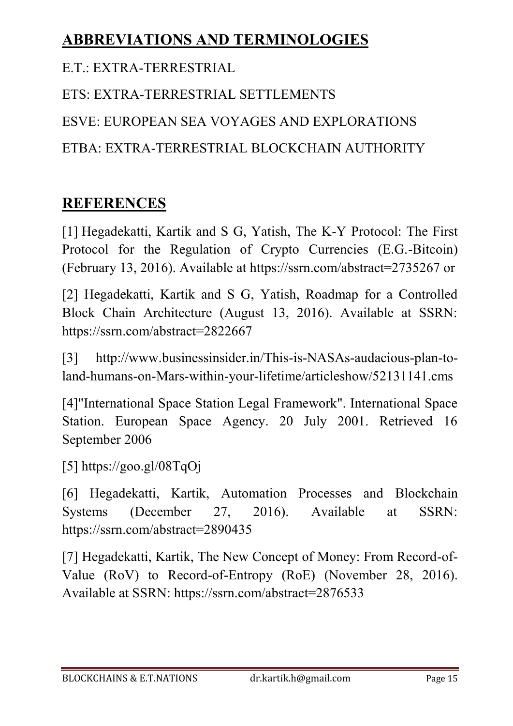### **ABBREVIATIONS AND TERMINOLOGIES**

E.T.: EXTRA-TERRESTRIAL

ETS: EXTRA-TERRESTRIAL SETTLEMENTS ESVE: EUROPEAN SEA VOYAGES AND EXPLORATIONS ETBA: EXTRA-TERRESTRIAL BLOCKCHAIN AUTHORITY

## **REFERENCES**

[1] Hegadekatti, Kartik and S G, Yatish, The K-Y Protocol: The First Protocol for the Regulation of Crypto Currencies (E.G.-Bitcoin) (February 13, 2016). Available at https://ssrn.com/abstract=2735267 or

[2] Hegadekatti, Kartik and S G, Yatish, Roadmap for a Controlled Block Chain Architecture (August 13, 2016). Available at SSRN: https://ssrn.com/abstract=2822667

[3] http://www.businessinsider.in/This-is-NASAs-audacious-plan-toland-humans-on-Mars-within-your-lifetime/articleshow/52131141.cms

[4]"International Space Station Legal Framework". International Space Station. European Space Agency. 20 July 2001. Retrieved 16 September 2006

[5] https://goo.gl/08TqOj

[6] Hegadekatti, Kartik, Automation Processes and Blockchain Systems (December 27, 2016). Available at SSRN: https://ssrn.com/abstract=2890435

[7] Hegadekatti, Kartik, The New Concept of Money: From Record-of-Value (RoV) to Record-of-Entropy (RoE) (November 28, 2016). Available at SSRN: https://ssrn.com/abstract=2876533